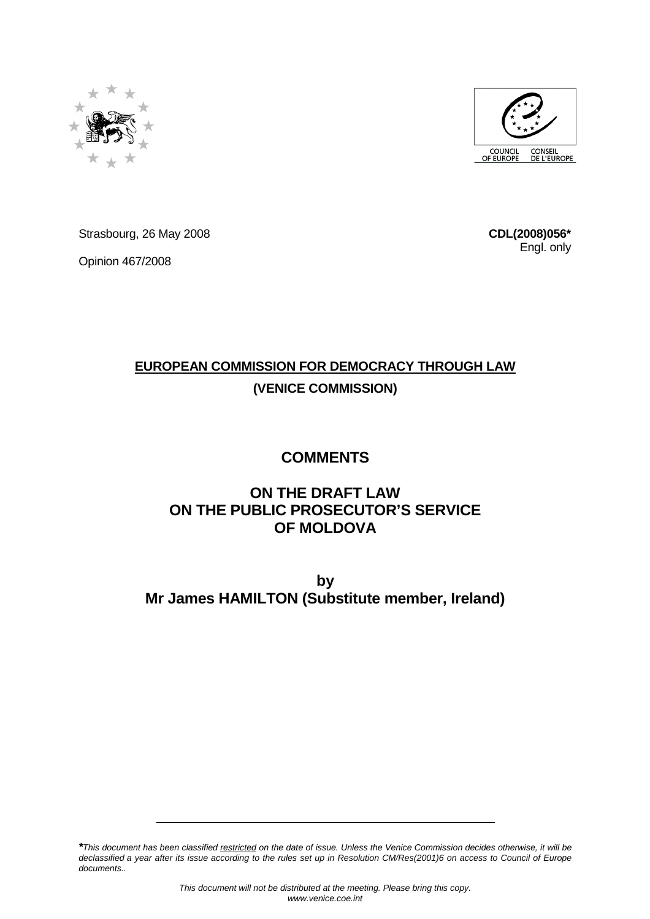



Strasbourg, 26 May 2008

Opinion 467/2008

**CDL(2008)056\*** Engl. only

# **EUROPEAN COMMISSION FOR DEMOCRACY THROUGH LAW (VENICE COMMISSION)**

# **COMMENTS**

# **ON THE DRAFT LAW ON THE PUBLIC PROSECUTOR'S SERVICE OF MOLDOVA**

**by Mr James HAMILTON (Substitute member, Ireland)** 

**\***This document has been classified restricted on the date of issue. Unless the Venice Commission decides otherwise, it will be declassified a year after its issue according to the rules set up in Resolution CM/Res(2001)6 on access to Council of Europe documents..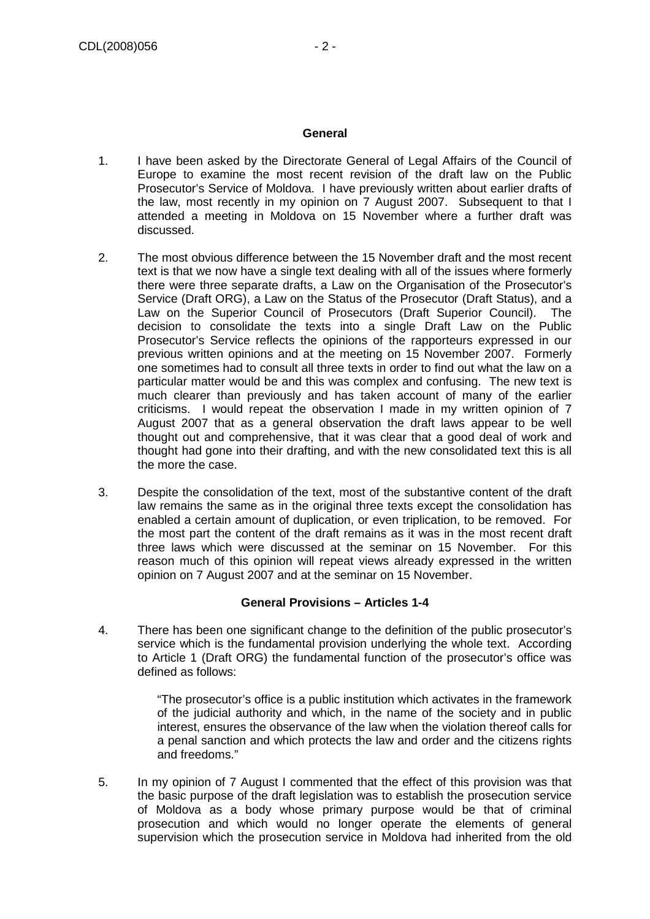#### **General**

- 1. I have been asked by the Directorate General of Legal Affairs of the Council of Europe to examine the most recent revision of the draft law on the Public Prosecutor's Service of Moldova. I have previously written about earlier drafts of the law, most recently in my opinion on 7 August 2007. Subsequent to that I attended a meeting in Moldova on 15 November where a further draft was discussed.
- 2. The most obvious difference between the 15 November draft and the most recent text is that we now have a single text dealing with all of the issues where formerly there were three separate drafts, a Law on the Organisation of the Prosecutor's Service (Draft ORG), a Law on the Status of the Prosecutor (Draft Status), and a Law on the Superior Council of Prosecutors (Draft Superior Council). The decision to consolidate the texts into a single Draft Law on the Public Prosecutor's Service reflects the opinions of the rapporteurs expressed in our previous written opinions and at the meeting on 15 November 2007. Formerly one sometimes had to consult all three texts in order to find out what the law on a particular matter would be and this was complex and confusing. The new text is much clearer than previously and has taken account of many of the earlier criticisms. I would repeat the observation I made in my written opinion of 7 August 2007 that as a general observation the draft laws appear to be well thought out and comprehensive, that it was clear that a good deal of work and thought had gone into their drafting, and with the new consolidated text this is all the more the case.
- 3. Despite the consolidation of the text, most of the substantive content of the draft law remains the same as in the original three texts except the consolidation has enabled a certain amount of duplication, or even triplication, to be removed. For the most part the content of the draft remains as it was in the most recent draft three laws which were discussed at the seminar on 15 November. For this reason much of this opinion will repeat views already expressed in the written opinion on 7 August 2007 and at the seminar on 15 November.

# **General Provisions – Articles 1-4**

4. There has been one significant change to the definition of the public prosecutor's service which is the fundamental provision underlying the whole text. According to Article 1 (Draft ORG) the fundamental function of the prosecutor's office was defined as follows:

> "The prosecutor's office is a public institution which activates in the framework of the judicial authority and which, in the name of the society and in public interest, ensures the observance of the law when the violation thereof calls for a penal sanction and which protects the law and order and the citizens rights and freedoms."

5. In my opinion of 7 August I commented that the effect of this provision was that the basic purpose of the draft legislation was to establish the prosecution service of Moldova as a body whose primary purpose would be that of criminal prosecution and which would no longer operate the elements of general supervision which the prosecution service in Moldova had inherited from the old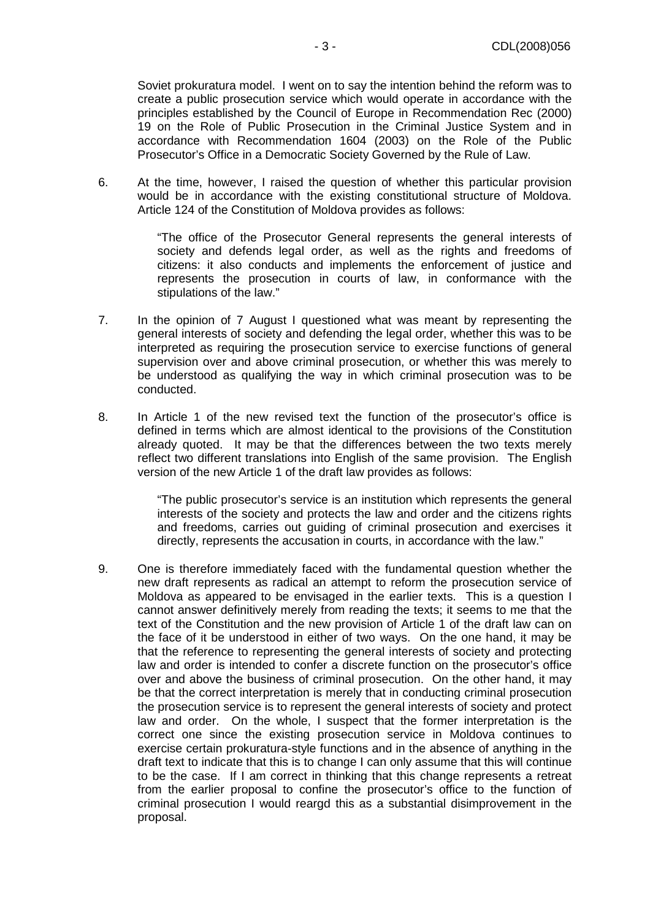Soviet prokuratura model. I went on to say the intention behind the reform was to create a public prosecution service which would operate in accordance with the principles established by the Council of Europe in Recommendation Rec (2000) 19 on the Role of Public Prosecution in the Criminal Justice System and in accordance with Recommendation 1604 (2003) on the Role of the Public Prosecutor's Office in a Democratic Society Governed by the Rule of Law.

6. At the time, however, I raised the question of whether this particular provision would be in accordance with the existing constitutional structure of Moldova. Article 124 of the Constitution of Moldova provides as follows:

> "The office of the Prosecutor General represents the general interests of society and defends legal order, as well as the rights and freedoms of citizens: it also conducts and implements the enforcement of justice and represents the prosecution in courts of law, in conformance with the stipulations of the law."

- 7. In the opinion of 7 August I questioned what was meant by representing the general interests of society and defending the legal order, whether this was to be interpreted as requiring the prosecution service to exercise functions of general supervision over and above criminal prosecution, or whether this was merely to be understood as qualifying the way in which criminal prosecution was to be conducted.
- 8. In Article 1 of the new revised text the function of the prosecutor's office is defined in terms which are almost identical to the provisions of the Constitution already quoted. It may be that the differences between the two texts merely reflect two different translations into English of the same provision. The English version of the new Article 1 of the draft law provides as follows:

"The public prosecutor's service is an institution which represents the general interests of the society and protects the law and order and the citizens rights and freedoms, carries out guiding of criminal prosecution and exercises it directly, represents the accusation in courts, in accordance with the law."

9. One is therefore immediately faced with the fundamental question whether the new draft represents as radical an attempt to reform the prosecution service of Moldova as appeared to be envisaged in the earlier texts. This is a question I cannot answer definitively merely from reading the texts; it seems to me that the text of the Constitution and the new provision of Article 1 of the draft law can on the face of it be understood in either of two ways. On the one hand, it may be that the reference to representing the general interests of society and protecting law and order is intended to confer a discrete function on the prosecutor's office over and above the business of criminal prosecution. On the other hand, it may be that the correct interpretation is merely that in conducting criminal prosecution the prosecution service is to represent the general interests of society and protect law and order. On the whole, I suspect that the former interpretation is the correct one since the existing prosecution service in Moldova continues to exercise certain prokuratura-style functions and in the absence of anything in the draft text to indicate that this is to change I can only assume that this will continue to be the case. If I am correct in thinking that this change represents a retreat from the earlier proposal to confine the prosecutor's office to the function of criminal prosecution I would reargd this as a substantial disimprovement in the proposal.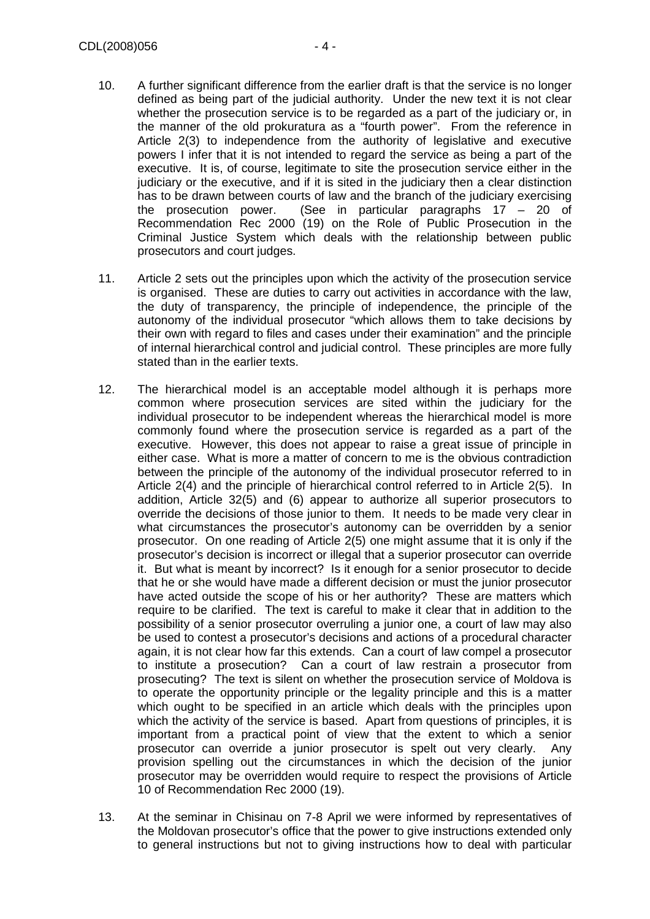- 10. A further significant difference from the earlier draft is that the service is no longer defined as being part of the judicial authority. Under the new text it is not clear whether the prosecution service is to be regarded as a part of the judiciary or, in the manner of the old prokuratura as a "fourth power". From the reference in Article 2(3) to independence from the authority of legislative and executive powers I infer that it is not intended to regard the service as being a part of the executive. It is, of course, legitimate to site the prosecution service either in the judiciary or the executive, and if it is sited in the judiciary then a clear distinction has to be drawn between courts of law and the branch of the judiciary exercising the prosecution power. (See in particular paragraphs  $17 - 20$  of Recommendation Rec 2000 (19) on the Role of Public Prosecution in the Criminal Justice System which deals with the relationship between public prosecutors and court judges.
- 11. Article 2 sets out the principles upon which the activity of the prosecution service is organised. These are duties to carry out activities in accordance with the law, the duty of transparency, the principle of independence, the principle of the autonomy of the individual prosecutor "which allows them to take decisions by their own with regard to files and cases under their examination" and the principle of internal hierarchical control and judicial control. These principles are more fully stated than in the earlier texts.
- 12. The hierarchical model is an acceptable model although it is perhaps more common where prosecution services are sited within the judiciary for the individual prosecutor to be independent whereas the hierarchical model is more commonly found where the prosecution service is regarded as a part of the executive. However, this does not appear to raise a great issue of principle in either case. What is more a matter of concern to me is the obvious contradiction between the principle of the autonomy of the individual prosecutor referred to in Article 2(4) and the principle of hierarchical control referred to in Article 2(5). In addition, Article 32(5) and (6) appear to authorize all superior prosecutors to override the decisions of those junior to them. It needs to be made very clear in what circumstances the prosecutor's autonomy can be overridden by a senior prosecutor. On one reading of Article 2(5) one might assume that it is only if the prosecutor's decision is incorrect or illegal that a superior prosecutor can override it. But what is meant by incorrect? Is it enough for a senior prosecutor to decide that he or she would have made a different decision or must the junior prosecutor have acted outside the scope of his or her authority? These are matters which require to be clarified. The text is careful to make it clear that in addition to the possibility of a senior prosecutor overruling a junior one, a court of law may also be used to contest a prosecutor's decisions and actions of a procedural character again, it is not clear how far this extends. Can a court of law compel a prosecutor to institute a prosecution? Can a court of law restrain a prosecutor from prosecuting? The text is silent on whether the prosecution service of Moldova is to operate the opportunity principle or the legality principle and this is a matter which ought to be specified in an article which deals with the principles upon which the activity of the service is based. Apart from questions of principles, it is important from a practical point of view that the extent to which a senior prosecutor can override a junior prosecutor is spelt out very clearly. Any provision spelling out the circumstances in which the decision of the junior prosecutor may be overridden would require to respect the provisions of Article 10 of Recommendation Rec 2000 (19).
- 13. At the seminar in Chisinau on 7-8 April we were informed by representatives of the Moldovan prosecutor's office that the power to give instructions extended only to general instructions but not to giving instructions how to deal with particular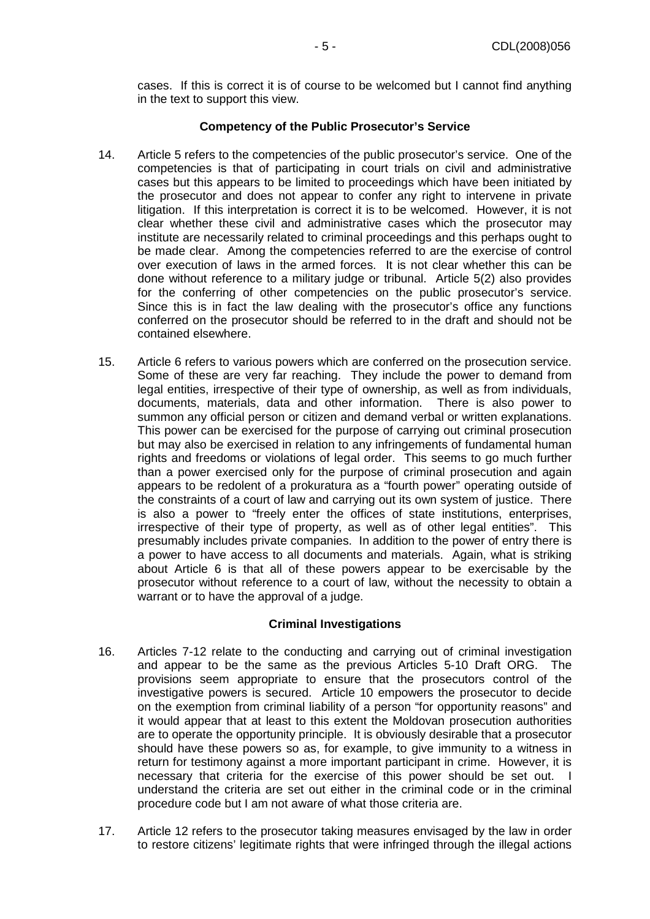cases. If this is correct it is of course to be welcomed but I cannot find anything in the text to support this view.

#### **Competency of the Public Prosecutor's Service**

- 14. Article 5 refers to the competencies of the public prosecutor's service. One of the competencies is that of participating in court trials on civil and administrative cases but this appears to be limited to proceedings which have been initiated by the prosecutor and does not appear to confer any right to intervene in private litigation. If this interpretation is correct it is to be welcomed. However, it is not clear whether these civil and administrative cases which the prosecutor may institute are necessarily related to criminal proceedings and this perhaps ought to be made clear. Among the competencies referred to are the exercise of control over execution of laws in the armed forces. It is not clear whether this can be done without reference to a military judge or tribunal. Article 5(2) also provides for the conferring of other competencies on the public prosecutor's service. Since this is in fact the law dealing with the prosecutor's office any functions conferred on the prosecutor should be referred to in the draft and should not be contained elsewhere.
- 15. Article 6 refers to various powers which are conferred on the prosecution service. Some of these are very far reaching. They include the power to demand from legal entities, irrespective of their type of ownership, as well as from individuals, documents, materials, data and other information. There is also power to summon any official person or citizen and demand verbal or written explanations. This power can be exercised for the purpose of carrying out criminal prosecution but may also be exercised in relation to any infringements of fundamental human rights and freedoms or violations of legal order. This seems to go much further than a power exercised only for the purpose of criminal prosecution and again appears to be redolent of a prokuratura as a "fourth power" operating outside of the constraints of a court of law and carrying out its own system of justice. There is also a power to "freely enter the offices of state institutions, enterprises, irrespective of their type of property, as well as of other legal entities". This presumably includes private companies. In addition to the power of entry there is a power to have access to all documents and materials. Again, what is striking about Article 6 is that all of these powers appear to be exercisable by the prosecutor without reference to a court of law, without the necessity to obtain a warrant or to have the approval of a judge.

# **Criminal Investigations**

- 16. Articles 7-12 relate to the conducting and carrying out of criminal investigation and appear to be the same as the previous Articles 5-10 Draft ORG. The provisions seem appropriate to ensure that the prosecutors control of the investigative powers is secured. Article 10 empowers the prosecutor to decide on the exemption from criminal liability of a person "for opportunity reasons" and it would appear that at least to this extent the Moldovan prosecution authorities are to operate the opportunity principle. It is obviously desirable that a prosecutor should have these powers so as, for example, to give immunity to a witness in return for testimony against a more important participant in crime. However, it is necessary that criteria for the exercise of this power should be set out. I understand the criteria are set out either in the criminal code or in the criminal procedure code but I am not aware of what those criteria are.
- 17. Article 12 refers to the prosecutor taking measures envisaged by the law in order to restore citizens' legitimate rights that were infringed through the illegal actions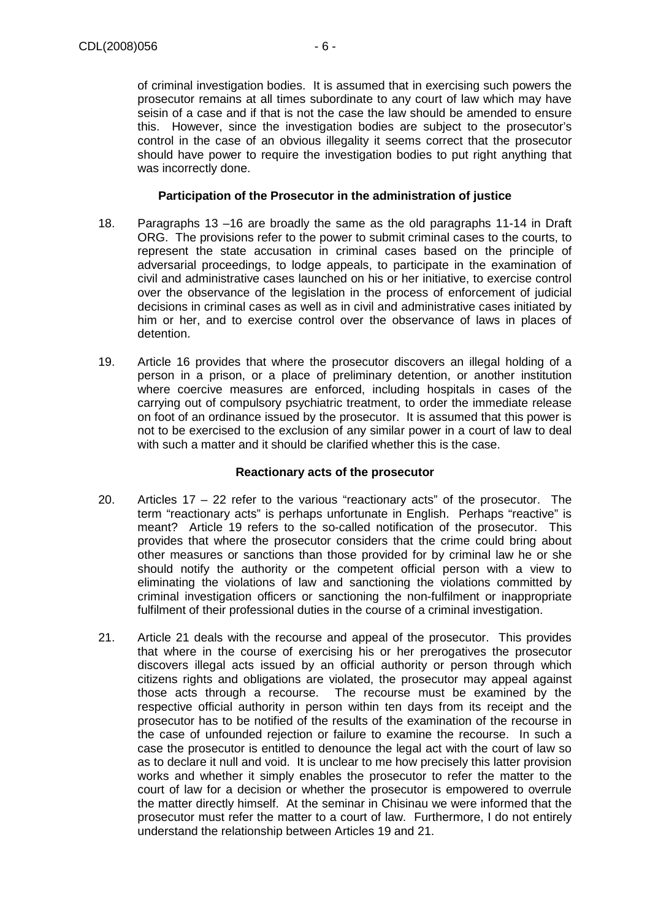of criminal investigation bodies. It is assumed that in exercising such powers the prosecutor remains at all times subordinate to any court of law which may have seisin of a case and if that is not the case the law should be amended to ensure this. However, since the investigation bodies are subject to the prosecutor's control in the case of an obvious illegality it seems correct that the prosecutor should have power to require the investigation bodies to put right anything that was incorrectly done.

#### **Participation of the Prosecutor in the administration of justice**

- 18. Paragraphs 13 –16 are broadly the same as the old paragraphs 11-14 in Draft ORG. The provisions refer to the power to submit criminal cases to the courts, to represent the state accusation in criminal cases based on the principle of adversarial proceedings, to lodge appeals, to participate in the examination of civil and administrative cases launched on his or her initiative, to exercise control over the observance of the legislation in the process of enforcement of judicial decisions in criminal cases as well as in civil and administrative cases initiated by him or her, and to exercise control over the observance of laws in places of detention.
- 19. Article 16 provides that where the prosecutor discovers an illegal holding of a person in a prison, or a place of preliminary detention, or another institution where coercive measures are enforced, including hospitals in cases of the carrying out of compulsory psychiatric treatment, to order the immediate release on foot of an ordinance issued by the prosecutor. It is assumed that this power is not to be exercised to the exclusion of any similar power in a court of law to deal with such a matter and it should be clarified whether this is the case.

# **Reactionary acts of the prosecutor**

- 20. Articles 17 22 refer to the various "reactionary acts" of the prosecutor. The term "reactionary acts" is perhaps unfortunate in English. Perhaps "reactive" is meant? Article 19 refers to the so-called notification of the prosecutor. This provides that where the prosecutor considers that the crime could bring about other measures or sanctions than those provided for by criminal law he or she should notify the authority or the competent official person with a view to eliminating the violations of law and sanctioning the violations committed by criminal investigation officers or sanctioning the non-fulfilment or inappropriate fulfilment of their professional duties in the course of a criminal investigation.
- 21. Article 21 deals with the recourse and appeal of the prosecutor. This provides that where in the course of exercising his or her prerogatives the prosecutor discovers illegal acts issued by an official authority or person through which citizens rights and obligations are violated, the prosecutor may appeal against those acts through a recourse. The recourse must be examined by the respective official authority in person within ten days from its receipt and the prosecutor has to be notified of the results of the examination of the recourse in the case of unfounded rejection or failure to examine the recourse. In such a case the prosecutor is entitled to denounce the legal act with the court of law so as to declare it null and void. It is unclear to me how precisely this latter provision works and whether it simply enables the prosecutor to refer the matter to the court of law for a decision or whether the prosecutor is empowered to overrule the matter directly himself. At the seminar in Chisinau we were informed that the prosecutor must refer the matter to a court of law. Furthermore, I do not entirely understand the relationship between Articles 19 and 21.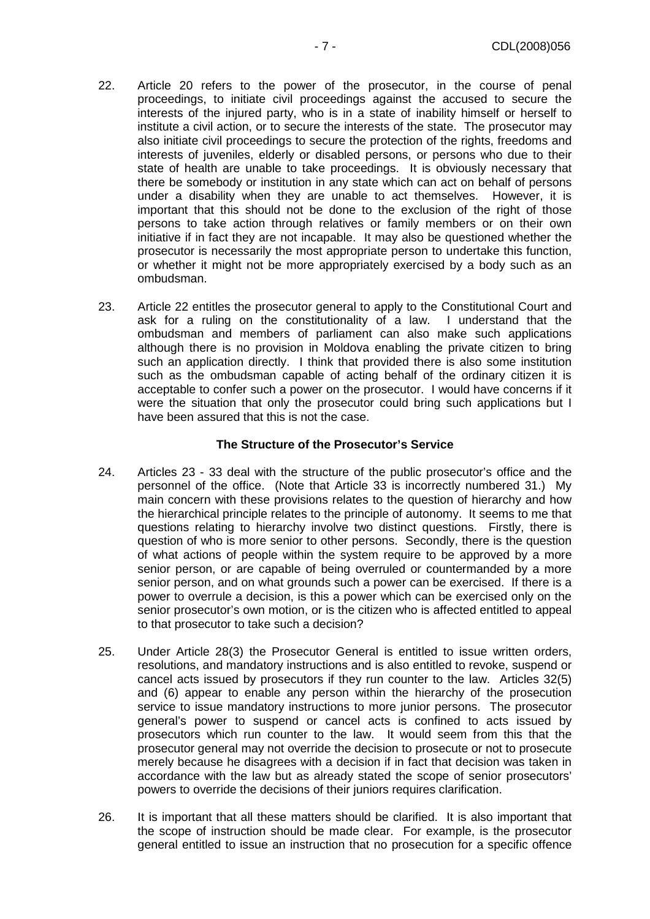- 22. Article 20 refers to the power of the prosecutor, in the course of penal proceedings, to initiate civil proceedings against the accused to secure the interests of the injured party, who is in a state of inability himself or herself to institute a civil action, or to secure the interests of the state. The prosecutor may also initiate civil proceedings to secure the protection of the rights, freedoms and interests of juveniles, elderly or disabled persons, or persons who due to their state of health are unable to take proceedings. It is obviously necessary that there be somebody or institution in any state which can act on behalf of persons under a disability when they are unable to act themselves. However, it is important that this should not be done to the exclusion of the right of those persons to take action through relatives or family members or on their own initiative if in fact they are not incapable. It may also be questioned whether the prosecutor is necessarily the most appropriate person to undertake this function, or whether it might not be more appropriately exercised by a body such as an ombudsman.
- 23. Article 22 entitles the prosecutor general to apply to the Constitutional Court and ask for a ruling on the constitutionality of a law. I understand that the ombudsman and members of parliament can also make such applications although there is no provision in Moldova enabling the private citizen to bring such an application directly. I think that provided there is also some institution such as the ombudsman capable of acting behalf of the ordinary citizen it is acceptable to confer such a power on the prosecutor. I would have concerns if it were the situation that only the prosecutor could bring such applications but I have been assured that this is not the case.

#### **The Structure of the Prosecutor's Service**

- 24. Articles 23 33 deal with the structure of the public prosecutor's office and the personnel of the office. (Note that Article 33 is incorrectly numbered 31.) My main concern with these provisions relates to the question of hierarchy and how the hierarchical principle relates to the principle of autonomy. It seems to me that questions relating to hierarchy involve two distinct questions. Firstly, there is question of who is more senior to other persons. Secondly, there is the question of what actions of people within the system require to be approved by a more senior person, or are capable of being overruled or countermanded by a more senior person, and on what grounds such a power can be exercised. If there is a power to overrule a decision, is this a power which can be exercised only on the senior prosecutor's own motion, or is the citizen who is affected entitled to appeal to that prosecutor to take such a decision?
- 25. Under Article 28(3) the Prosecutor General is entitled to issue written orders, resolutions, and mandatory instructions and is also entitled to revoke, suspend or cancel acts issued by prosecutors if they run counter to the law. Articles 32(5) and (6) appear to enable any person within the hierarchy of the prosecution service to issue mandatory instructions to more junior persons. The prosecutor general's power to suspend or cancel acts is confined to acts issued by prosecutors which run counter to the law. It would seem from this that the prosecutor general may not override the decision to prosecute or not to prosecute merely because he disagrees with a decision if in fact that decision was taken in accordance with the law but as already stated the scope of senior prosecutors' powers to override the decisions of their juniors requires clarification.
- 26. It is important that all these matters should be clarified. It is also important that the scope of instruction should be made clear. For example, is the prosecutor general entitled to issue an instruction that no prosecution for a specific offence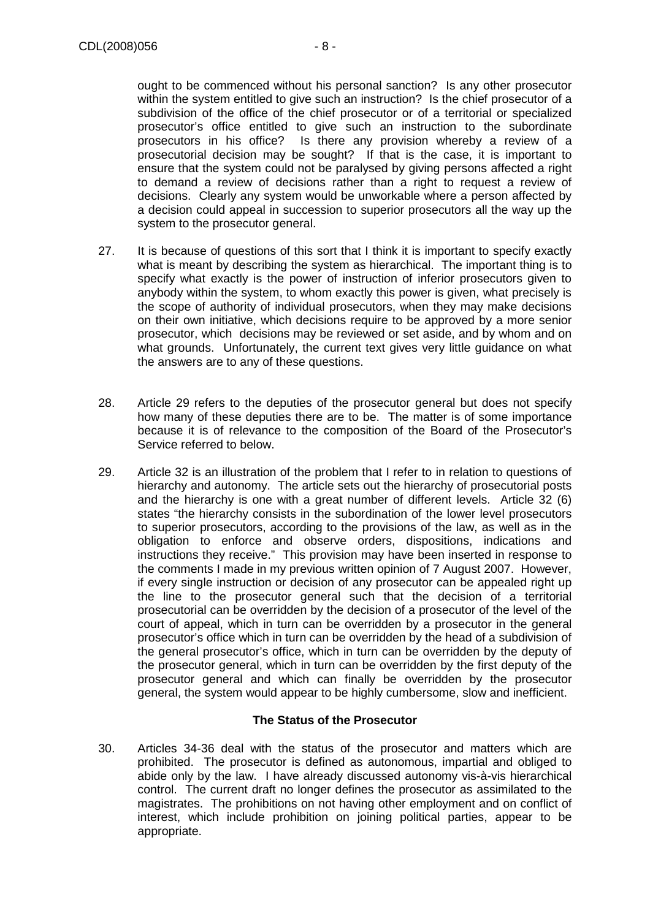ought to be commenced without his personal sanction? Is any other prosecutor within the system entitled to give such an instruction? Is the chief prosecutor of a subdivision of the office of the chief prosecutor or of a territorial or specialized prosecutor's office entitled to give such an instruction to the subordinate prosecutors in his office? Is there any provision whereby a review of a prosecutorial decision may be sought? If that is the case, it is important to ensure that the system could not be paralysed by giving persons affected a right to demand a review of decisions rather than a right to request a review of decisions. Clearly any system would be unworkable where a person affected by a decision could appeal in succession to superior prosecutors all the way up the system to the prosecutor general.

- 27. It is because of questions of this sort that I think it is important to specify exactly what is meant by describing the system as hierarchical. The important thing is to specify what exactly is the power of instruction of inferior prosecutors given to anybody within the system, to whom exactly this power is given, what precisely is the scope of authority of individual prosecutors, when they may make decisions on their own initiative, which decisions require to be approved by a more senior prosecutor, which decisions may be reviewed or set aside, and by whom and on what grounds. Unfortunately, the current text gives very little guidance on what the answers are to any of these questions.
- 28. Article 29 refers to the deputies of the prosecutor general but does not specify how many of these deputies there are to be. The matter is of some importance because it is of relevance to the composition of the Board of the Prosecutor's Service referred to below.
- 29. Article 32 is an illustration of the problem that I refer to in relation to questions of hierarchy and autonomy. The article sets out the hierarchy of prosecutorial posts and the hierarchy is one with a great number of different levels. Article 32 (6) states "the hierarchy consists in the subordination of the lower level prosecutors to superior prosecutors, according to the provisions of the law, as well as in the obligation to enforce and observe orders, dispositions, indications and instructions they receive." This provision may have been inserted in response to the comments I made in my previous written opinion of 7 August 2007. However, if every single instruction or decision of any prosecutor can be appealed right up the line to the prosecutor general such that the decision of a territorial prosecutorial can be overridden by the decision of a prosecutor of the level of the court of appeal, which in turn can be overridden by a prosecutor in the general prosecutor's office which in turn can be overridden by the head of a subdivision of the general prosecutor's office, which in turn can be overridden by the deputy of the prosecutor general, which in turn can be overridden by the first deputy of the prosecutor general and which can finally be overridden by the prosecutor general, the system would appear to be highly cumbersome, slow and inefficient.

# **The Status of the Prosecutor**

30. Articles 34-36 deal with the status of the prosecutor and matters which are prohibited. The prosecutor is defined as autonomous, impartial and obliged to abide only by the law. I have already discussed autonomy vis-à-vis hierarchical control. The current draft no longer defines the prosecutor as assimilated to the magistrates. The prohibitions on not having other employment and on conflict of interest, which include prohibition on joining political parties, appear to be appropriate.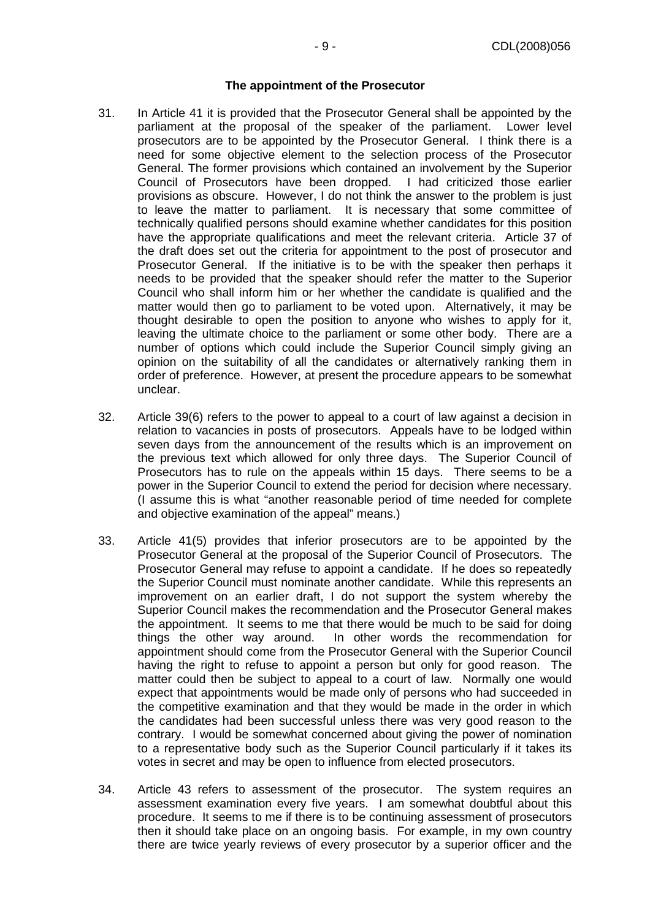#### **The appointment of the Prosecutor**

- 31. In Article 41 it is provided that the Prosecutor General shall be appointed by the parliament at the proposal of the speaker of the parliament. Lower level prosecutors are to be appointed by the Prosecutor General. I think there is a need for some objective element to the selection process of the Prosecutor General. The former provisions which contained an involvement by the Superior Council of Prosecutors have been dropped. I had criticized those earlier provisions as obscure. However, I do not think the answer to the problem is just to leave the matter to parliament. It is necessary that some committee of technically qualified persons should examine whether candidates for this position have the appropriate qualifications and meet the relevant criteria. Article 37 of the draft does set out the criteria for appointment to the post of prosecutor and Prosecutor General. If the initiative is to be with the speaker then perhaps it needs to be provided that the speaker should refer the matter to the Superior Council who shall inform him or her whether the candidate is qualified and the matter would then go to parliament to be voted upon. Alternatively, it may be thought desirable to open the position to anyone who wishes to apply for it, leaving the ultimate choice to the parliament or some other body. There are a number of options which could include the Superior Council simply giving an opinion on the suitability of all the candidates or alternatively ranking them in order of preference. However, at present the procedure appears to be somewhat unclear.
- 32. Article 39(6) refers to the power to appeal to a court of law against a decision in relation to vacancies in posts of prosecutors. Appeals have to be lodged within seven days from the announcement of the results which is an improvement on the previous text which allowed for only three days. The Superior Council of Prosecutors has to rule on the appeals within 15 days. There seems to be a power in the Superior Council to extend the period for decision where necessary. (I assume this is what "another reasonable period of time needed for complete and objective examination of the appeal" means.)
- 33. Article 41(5) provides that inferior prosecutors are to be appointed by the Prosecutor General at the proposal of the Superior Council of Prosecutors. The Prosecutor General may refuse to appoint a candidate. If he does so repeatedly the Superior Council must nominate another candidate. While this represents an improvement on an earlier draft, I do not support the system whereby the Superior Council makes the recommendation and the Prosecutor General makes the appointment. It seems to me that there would be much to be said for doing things the other way around. In other words the recommendation for appointment should come from the Prosecutor General with the Superior Council having the right to refuse to appoint a person but only for good reason. The matter could then be subject to appeal to a court of law. Normally one would expect that appointments would be made only of persons who had succeeded in the competitive examination and that they would be made in the order in which the candidates had been successful unless there was very good reason to the contrary. I would be somewhat concerned about giving the power of nomination to a representative body such as the Superior Council particularly if it takes its votes in secret and may be open to influence from elected prosecutors.
- 34. Article 43 refers to assessment of the prosecutor. The system requires an assessment examination every five years. I am somewhat doubtful about this procedure. It seems to me if there is to be continuing assessment of prosecutors then it should take place on an ongoing basis. For example, in my own country there are twice yearly reviews of every prosecutor by a superior officer and the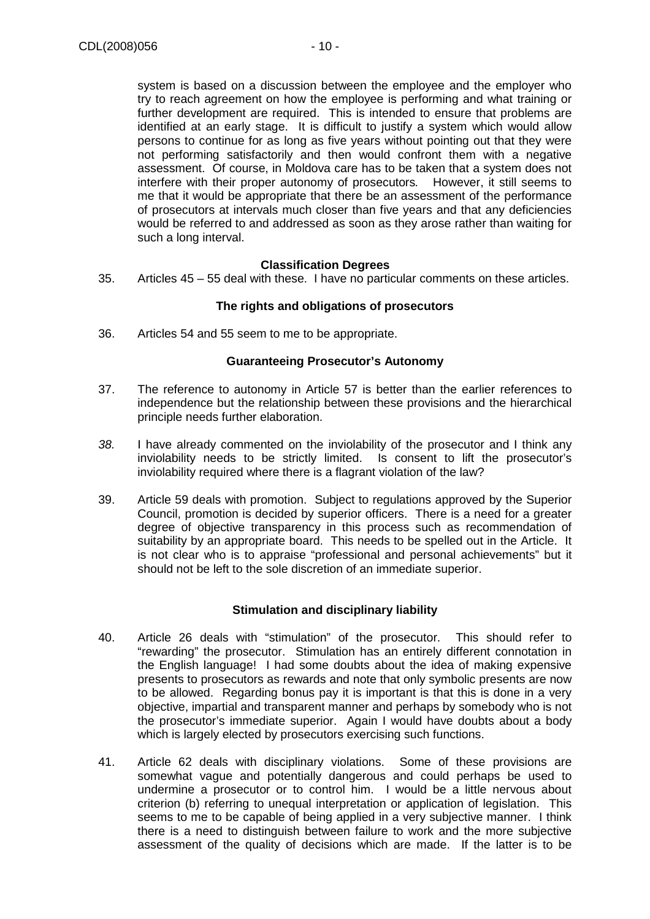system is based on a discussion between the employee and the employer who try to reach agreement on how the employee is performing and what training or further development are required. This is intended to ensure that problems are identified at an early stage. It is difficult to justify a system which would allow persons to continue for as long as five years without pointing out that they were not performing satisfactorily and then would confront them with a negative assessment. Of course, in Moldova care has to be taken that a system does not interfere with their proper autonomy of prosecutors. However, it still seems to me that it would be appropriate that there be an assessment of the performance of prosecutors at intervals much closer than five years and that any deficiencies would be referred to and addressed as soon as they arose rather than waiting for such a long interval.

#### **Classification Degrees**

35. Articles 45 – 55 deal with these. I have no particular comments on these articles.

#### **The rights and obligations of prosecutors**

36. Articles 54 and 55 seem to me to be appropriate.

#### **Guaranteeing Prosecutor's Autonomy**

- 37. The reference to autonomy in Article 57 is better than the earlier references to independence but the relationship between these provisions and the hierarchical principle needs further elaboration.
- 38. I have already commented on the inviolability of the prosecutor and I think any inviolability needs to be strictly limited. Is consent to lift the prosecutor's inviolability required where there is a flagrant violation of the law?
- 39. Article 59 deals with promotion. Subject to regulations approved by the Superior Council, promotion is decided by superior officers. There is a need for a greater degree of objective transparency in this process such as recommendation of suitability by an appropriate board. This needs to be spelled out in the Article. It is not clear who is to appraise "professional and personal achievements" but it should not be left to the sole discretion of an immediate superior.

# **Stimulation and disciplinary liability**

- 40. Article 26 deals with "stimulation" of the prosecutor. This should refer to "rewarding" the prosecutor. Stimulation has an entirely different connotation in the English language! I had some doubts about the idea of making expensive presents to prosecutors as rewards and note that only symbolic presents are now to be allowed. Regarding bonus pay it is important is that this is done in a very objective, impartial and transparent manner and perhaps by somebody who is not the prosecutor's immediate superior. Again I would have doubts about a body which is largely elected by prosecutors exercising such functions.
- 41. Article 62 deals with disciplinary violations. Some of these provisions are somewhat vague and potentially dangerous and could perhaps be used to undermine a prosecutor or to control him. I would be a little nervous about criterion (b) referring to unequal interpretation or application of legislation. This seems to me to be capable of being applied in a very subjective manner. I think there is a need to distinguish between failure to work and the more subjective assessment of the quality of decisions which are made. If the latter is to be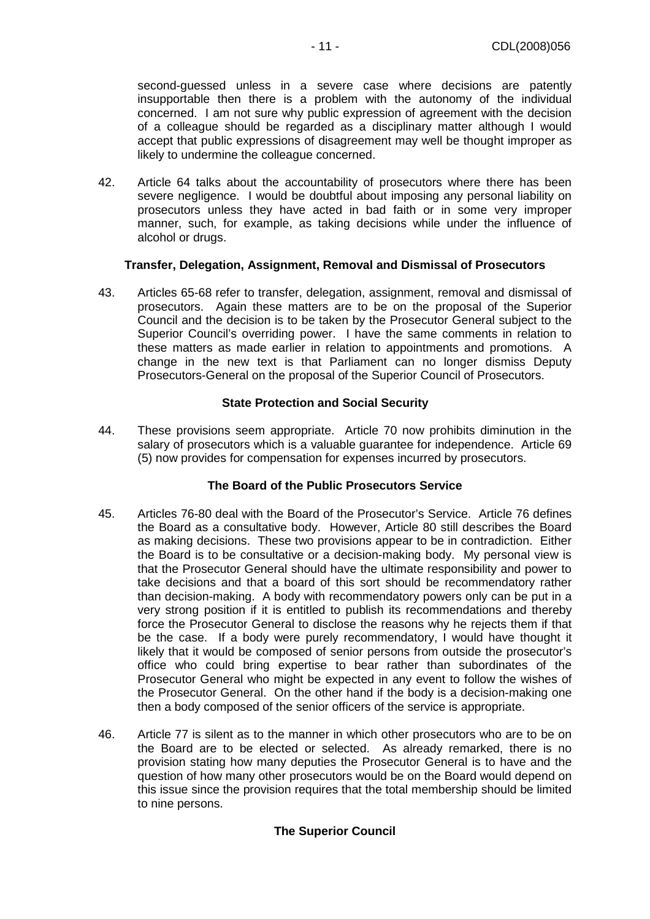second-guessed unless in a severe case where decisions are patently insupportable then there is a problem with the autonomy of the individual concerned. I am not sure why public expression of agreement with the decision of a colleague should be regarded as a disciplinary matter although I would accept that public expressions of disagreement may well be thought improper as likely to undermine the colleague concerned.

42. Article 64 talks about the accountability of prosecutors where there has been severe negligence. I would be doubtful about imposing any personal liability on prosecutors unless they have acted in bad faith or in some very improper manner, such, for example, as taking decisions while under the influence of alcohol or drugs.

#### **Transfer, Delegation, Assignment, Removal and Dismissal of Prosecutors**

43. Articles 65-68 refer to transfer, delegation, assignment, removal and dismissal of prosecutors. Again these matters are to be on the proposal of the Superior Council and the decision is to be taken by the Prosecutor General subject to the Superior Council's overriding power. I have the same comments in relation to these matters as made earlier in relation to appointments and promotions. A change in the new text is that Parliament can no longer dismiss Deputy Prosecutors-General on the proposal of the Superior Council of Prosecutors.

#### **State Protection and Social Security**

44. These provisions seem appropriate. Article 70 now prohibits diminution in the salary of prosecutors which is a valuable guarantee for independence. Article 69 (5) now provides for compensation for expenses incurred by prosecutors.

# **The Board of the Public Prosecutors Service**

- 45. Articles 76-80 deal with the Board of the Prosecutor's Service. Article 76 defines the Board as a consultative body. However, Article 80 still describes the Board as making decisions. These two provisions appear to be in contradiction. Either the Board is to be consultative or a decision-making body. My personal view is that the Prosecutor General should have the ultimate responsibility and power to take decisions and that a board of this sort should be recommendatory rather than decision-making. A body with recommendatory powers only can be put in a very strong position if it is entitled to publish its recommendations and thereby force the Prosecutor General to disclose the reasons why he rejects them if that be the case. If a body were purely recommendatory, I would have thought it likely that it would be composed of senior persons from outside the prosecutor's office who could bring expertise to bear rather than subordinates of the Prosecutor General who might be expected in any event to follow the wishes of the Prosecutor General. On the other hand if the body is a decision-making one then a body composed of the senior officers of the service is appropriate.
- 46. Article 77 is silent as to the manner in which other prosecutors who are to be on the Board are to be elected or selected. As already remarked, there is no provision stating how many deputies the Prosecutor General is to have and the question of how many other prosecutors would be on the Board would depend on this issue since the provision requires that the total membership should be limited to nine persons.

# **The Superior Council**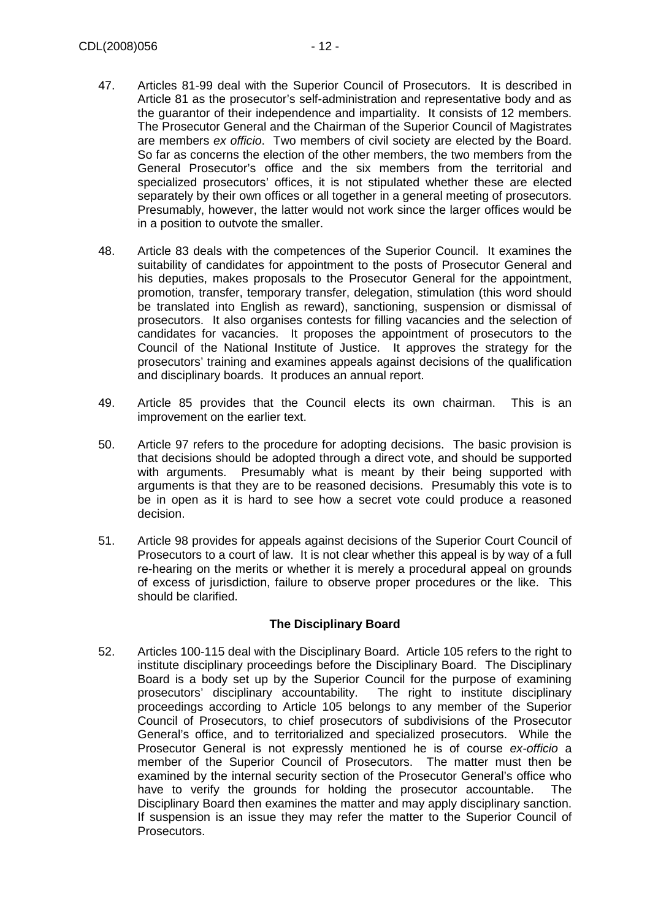- 47. Articles 81-99 deal with the Superior Council of Prosecutors. It is described in Article 81 as the prosecutor's self-administration and representative body and as the guarantor of their independence and impartiality. It consists of 12 members. The Prosecutor General and the Chairman of the Superior Council of Magistrates are members ex officio. Two members of civil society are elected by the Board. So far as concerns the election of the other members, the two members from the General Prosecutor's office and the six members from the territorial and specialized prosecutors' offices, it is not stipulated whether these are elected separately by their own offices or all together in a general meeting of prosecutors. Presumably, however, the latter would not work since the larger offices would be in a position to outvote the smaller.
- 48. Article 83 deals with the competences of the Superior Council. It examines the suitability of candidates for appointment to the posts of Prosecutor General and his deputies, makes proposals to the Prosecutor General for the appointment, promotion, transfer, temporary transfer, delegation, stimulation (this word should be translated into English as reward), sanctioning, suspension or dismissal of prosecutors. It also organises contests for filling vacancies and the selection of candidates for vacancies. It proposes the appointment of prosecutors to the Council of the National Institute of Justice. It approves the strategy for the prosecutors' training and examines appeals against decisions of the qualification and disciplinary boards. It produces an annual report.
- 49. Article 85 provides that the Council elects its own chairman. This is an improvement on the earlier text.
- 50. Article 97 refers to the procedure for adopting decisions. The basic provision is that decisions should be adopted through a direct vote, and should be supported with arguments. Presumably what is meant by their being supported with arguments is that they are to be reasoned decisions. Presumably this vote is to be in open as it is hard to see how a secret vote could produce a reasoned decision.
- 51. Article 98 provides for appeals against decisions of the Superior Court Council of Prosecutors to a court of law. It is not clear whether this appeal is by way of a full re-hearing on the merits or whether it is merely a procedural appeal on grounds of excess of jurisdiction, failure to observe proper procedures or the like. This should be clarified.

# **The Disciplinary Board**

52. Articles 100-115 deal with the Disciplinary Board. Article 105 refers to the right to institute disciplinary proceedings before the Disciplinary Board. The Disciplinary Board is a body set up by the Superior Council for the purpose of examining prosecutors' disciplinary accountability. The right to institute disciplinary proceedings according to Article 105 belongs to any member of the Superior Council of Prosecutors, to chief prosecutors of subdivisions of the Prosecutor General's office, and to territorialized and specialized prosecutors. While the Prosecutor General is not expressly mentioned he is of course ex-officio a member of the Superior Council of Prosecutors. The matter must then be examined by the internal security section of the Prosecutor General's office who have to verify the grounds for holding the prosecutor accountable. The Disciplinary Board then examines the matter and may apply disciplinary sanction. If suspension is an issue they may refer the matter to the Superior Council of Prosecutors.